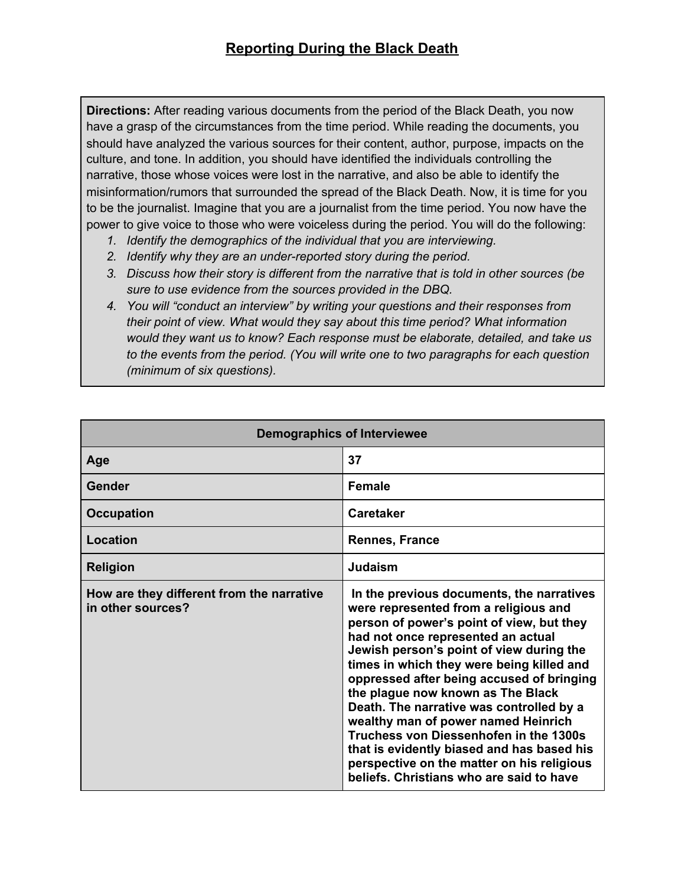**Directions:** After reading various documents from the period of the Black Death, you now have a grasp of the circumstances from the time period. While reading the documents, you should have analyzed the various sources for their content, author, purpose, impacts on the culture, and tone. In addition, you should have identified the individuals controlling the narrative, those whose voices were lost in the narrative, and also be able to identify the misinformation/rumors that surrounded the spread of the Black Death. Now, it is time for you to be the journalist. Imagine that you are a journalist from the time period. You now have the power to give voice to those who were voiceless during the period. You will do the following:

- *1. Identify the demographics of the individual that you are interviewing.*
- *2. Identify why they are an under-reported story during the period.*
- *3. Discuss how their story is different from the narrative that is told in other sources (be sure to use evidence from the sources provided in the DBQ.*
- *4. You will "conduct an interview" by writing your questions and their responses from their point of view. What would they say about this time period? What information would they want us to know? Each response must be elaborate, detailed, and take us to the events from the period. (You will write one to two paragraphs for each question (minimum of six questions).*

| <b>Demographics of Interviewee</b>                             |                                                                                                                                                                                                                                                                                                                                                                                                                                                                                                                                                                                                                       |
|----------------------------------------------------------------|-----------------------------------------------------------------------------------------------------------------------------------------------------------------------------------------------------------------------------------------------------------------------------------------------------------------------------------------------------------------------------------------------------------------------------------------------------------------------------------------------------------------------------------------------------------------------------------------------------------------------|
| Age                                                            | 37                                                                                                                                                                                                                                                                                                                                                                                                                                                                                                                                                                                                                    |
| Gender                                                         | <b>Female</b>                                                                                                                                                                                                                                                                                                                                                                                                                                                                                                                                                                                                         |
| <b>Occupation</b>                                              | <b>Caretaker</b>                                                                                                                                                                                                                                                                                                                                                                                                                                                                                                                                                                                                      |
| Location                                                       | <b>Rennes, France</b>                                                                                                                                                                                                                                                                                                                                                                                                                                                                                                                                                                                                 |
| <b>Religion</b>                                                | Judaism                                                                                                                                                                                                                                                                                                                                                                                                                                                                                                                                                                                                               |
| How are they different from the narrative<br>in other sources? | In the previous documents, the narratives<br>were represented from a religious and<br>person of power's point of view, but they<br>had not once represented an actual<br>Jewish person's point of view during the<br>times in which they were being killed and<br>oppressed after being accused of bringing<br>the plague now known as The Black<br>Death. The narrative was controlled by a<br>wealthy man of power named Heinrich<br>Truchess von Diessenhofen in the 1300s<br>that is evidently biased and has based his<br>perspective on the matter on his religious<br>beliefs. Christians who are said to have |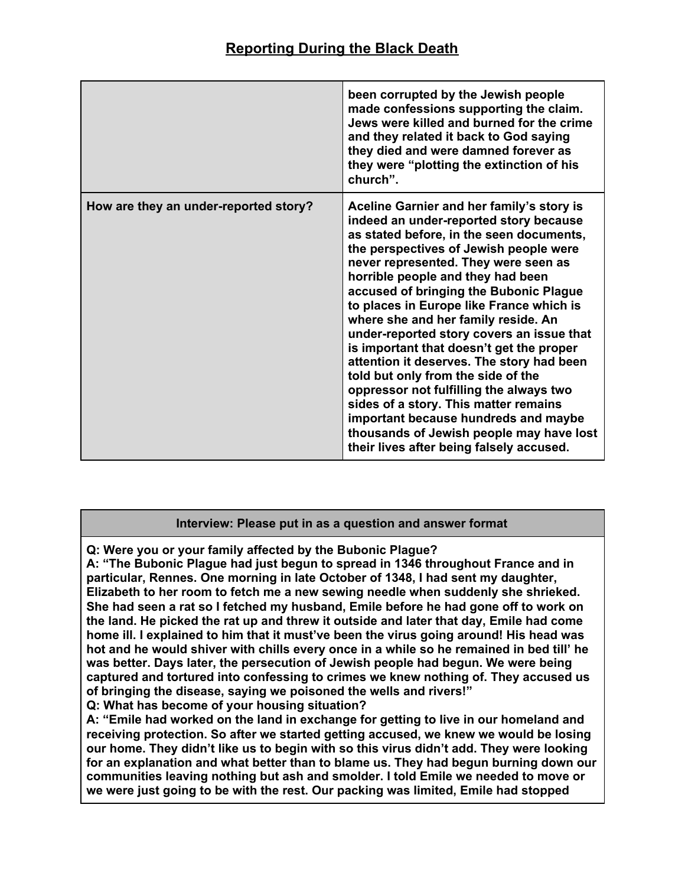|                                       | been corrupted by the Jewish people<br>made confessions supporting the claim.<br>Jews were killed and burned for the crime<br>and they related it back to God saying<br>they died and were damned forever as<br>they were "plotting the extinction of his<br>church".                                                                                                                                                                                                                                                                                                                                                                                                                                                                                                               |
|---------------------------------------|-------------------------------------------------------------------------------------------------------------------------------------------------------------------------------------------------------------------------------------------------------------------------------------------------------------------------------------------------------------------------------------------------------------------------------------------------------------------------------------------------------------------------------------------------------------------------------------------------------------------------------------------------------------------------------------------------------------------------------------------------------------------------------------|
| How are they an under-reported story? | Aceline Garnier and her family's story is<br>indeed an under-reported story because<br>as stated before, in the seen documents,<br>the perspectives of Jewish people were<br>never represented. They were seen as<br>horrible people and they had been<br>accused of bringing the Bubonic Plague<br>to places in Europe like France which is<br>where she and her family reside. An<br>under-reported story covers an issue that<br>is important that doesn't get the proper<br>attention it deserves. The story had been<br>told but only from the side of the<br>oppressor not fulfilling the always two<br>sides of a story. This matter remains<br>important because hundreds and maybe<br>thousands of Jewish people may have lost<br>their lives after being falsely accused. |

## **Interview: Please put in as a question and answer format**

**Q: Were you or your family affected by the Bubonic Plague?**

**A: "The Bubonic Plague had just begun to spread in 1346 throughout France and in particular, Rennes. One morning in late October of 1348, I had sent my daughter, Elizabeth to her room to fetch me a new sewing needle when suddenly she shrieked. She had seen a rat so I fetched my husband, Emile before he had gone off to work on the land. He picked the rat up and threw it outside and later that day, Emile had come home ill. I explained to him that it must've been the virus going around! His head was hot and he would shiver with chills every once in a while so he remained in bed till' he was better. Days later, the persecution of Jewish people had begun. We were being captured and tortured into confessing to crimes we knew nothing of. They accused us of bringing the disease, saying we poisoned the wells and rivers!"**

**Q: What has become of your housing situation?**

**A: "Emile had worked on the land in exchange for getting to live in our homeland and receiving protection. So after we started getting accused, we knew we would be losing our home. They didn't like us to begin with so this virus didn't add. They were looking for an explanation and what better than to blame us. They had begun burning down our communities leaving nothing but ash and smolder. I told Emile we needed to move or we were just going to be with the rest. Our packing was limited, Emile had stopped**